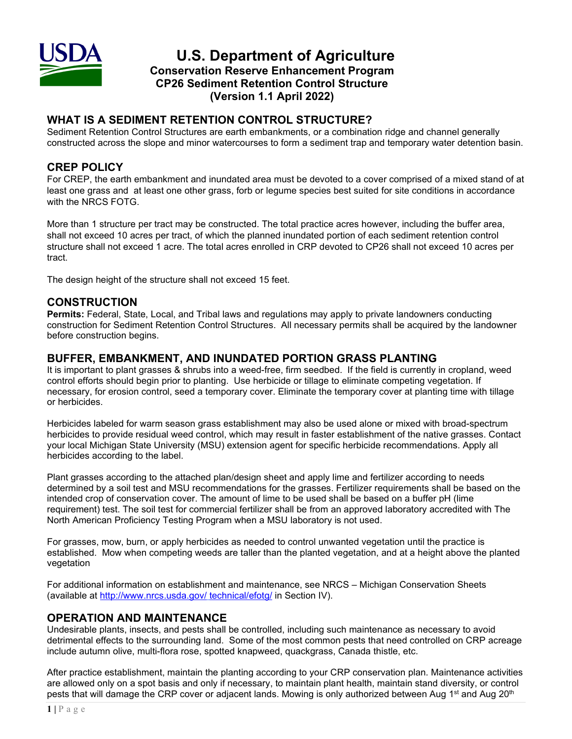

**U.S. Department of Agriculture Conservation Reserve Enhancement Program CP26 Sediment Retention Control Structure (Version 1.1 April 2022)**

# **WHAT IS A SEDIMENT RETENTION CONTROL STRUCTURE?**

Sediment Retention Control Structures are earth embankments, or a combination ridge and channel generally constructed across the slope and minor watercourses to form a sediment trap and temporary water detention basin.

## **CREP POLICY**

For CREP, the earth embankment and inundated area must be devoted to a cover comprised of a mixed stand of at least one grass and at least one other grass, forb or legume species best suited for site conditions in accordance with the NRCS FOTG.

More than 1 structure per tract may be constructed. The total practice acres however, including the buffer area, shall not exceed 10 acres per tract, of which the planned inundated portion of each sediment retention control structure shall not exceed 1 acre. The total acres enrolled in CRP devoted to CP26 shall not exceed 10 acres per tract.

The design height of the structure shall not exceed 15 feet.

## **CONSTRUCTION**

**Permits:** Federal, State, Local, and Tribal laws and regulations may apply to private landowners conducting construction for Sediment Retention Control Structures. All necessary permits shall be acquired by the landowner before construction begins.

### **BUFFER, EMBANKMENT, AND INUNDATED PORTION GRASS PLANTING**

It is important to plant grasses & shrubs into a weed-free, firm seedbed. If the field is currently in cropland, weed control efforts should begin prior to planting. Use herbicide or tillage to eliminate competing vegetation. If necessary, for erosion control, seed a temporary cover. Eliminate the temporary cover at planting time with tillage or herbicides.

Herbicides labeled for warm season grass establishment may also be used alone or mixed with broad-spectrum herbicides to provide residual weed control, which may result in faster establishment of the native grasses. Contact your local Michigan State University (MSU) extension agent for specific herbicide recommendations. Apply all herbicides according to the label.

Plant grasses according to the attached plan/design sheet and apply lime and fertilizer according to needs determined by a soil test and MSU recommendations for the grasses. Fertilizer requirements shall be based on the intended crop of conservation cover. The amount of lime to be used shall be based on a buffer pH (lime requirement) test. The soil test for commercial fertilizer shall be from an approved laboratory accredited with The North American Proficiency Testing Program when a MSU laboratory is not used.

For grasses, mow, burn, or apply herbicides as needed to control unwanted vegetation until the practice is established. Mow when competing weeds are taller than the planted vegetation, and at a height above the planted vegetation

For additional information on establishment and maintenance, see NRCS – Michigan Conservation Sheets (available at<http://www.nrcs.usda.gov/> technical/efotg/ in Section IV).

## **OPERATION AND MAINTENANCE**

Undesirable plants, insects, and pests shall be controlled, including such maintenance as necessary to avoid detrimental effects to the surrounding land. Some of the most common pests that need controlled on CRP acreage include autumn olive, multi-flora rose, spotted knapweed, quackgrass, Canada thistle, etc.

After practice establishment, maintain the planting according to your CRP conservation plan. Maintenance activities are allowed only on a spot basis and only if necessary, to maintain plant health, maintain stand diversity, or control pests that will damage the CRP cover or adjacent lands. Mowing is only authorized between Aug 1<sup>st</sup> and Aug 20<sup>th</sup>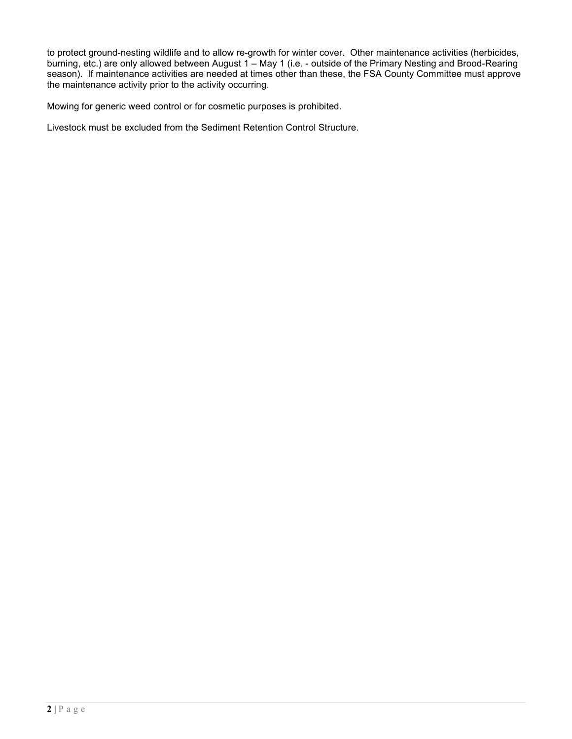to protect ground-nesting wildlife and to allow re-growth for winter cover. Other maintenance activities (herbicides, burning, etc.) are only allowed between August 1 – May 1 (i.e. - outside of the Primary Nesting and Brood-Rearing season). If maintenance activities are needed at times other than these, the FSA County Committee must approve the maintenance activity prior to the activity occurring.

Mowing for generic weed control or for cosmetic purposes is prohibited.

Livestock must be excluded from the Sediment Retention Control Structure.